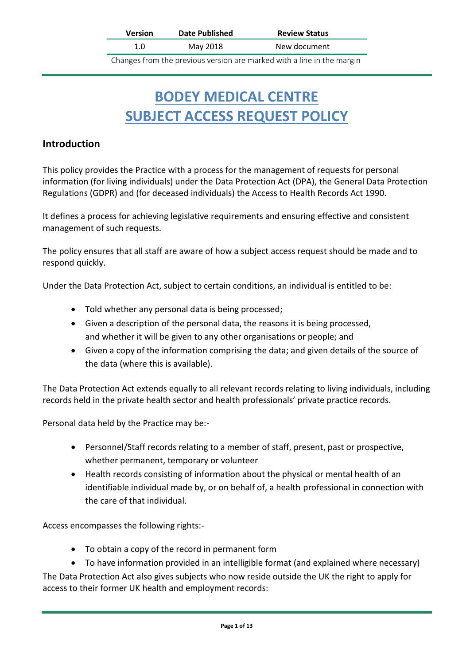| <b>Version</b> | <b>Date Published</b> | <b>Review Status</b>                                                                  |
|----------------|-----------------------|---------------------------------------------------------------------------------------|
| 1.0            | May 2018              | New document                                                                          |
|                |                       | وينصورهم والملط وزناه والمستلوب المواسمون وبرم ويمترون ويتمرض ويسور والمسموع ومحورهما |

Changes from the previous version are marked with a line in the margin

# **BODEY MEDICAL CENTRE SUBJECT ACCESS REQUEST POLICY**

### **Introduction**

This policy provides the Practice with a process for the management of requests for personal information (for living individuals) under the Data Protection Act (DPA), the General Data Protection Regulations (GDPR) and (for deceased individuals) the Access to Health Records Act 1990.

It defines a process for achieving legislative requirements and ensuring effective and consistent management of such requests.

The policy ensures that all staff are aware of how a subject access request should be made and to respond quickly.

Under the Data Protection Act, subject to certain conditions, an individual is entitled to be:

- Told whether any personal data is being processed;
- Given a description of the personal data, the reasons it is being processed, and whether it will be given to any other organisations or people; and
- Given a copy of the information comprising the data; and given details of the source of the data (where this is available).

The Data Protection Act extends equally to all relevant records relating to living individuals, including records held in the private health sector and health professionals' private practice records.

Personal data held by the Practice may be:-

- Personnel/Staff records relating to a member of staff, present, past or prospective, whether permanent, temporary or volunteer
- Health records consisting of information about the physical or mental health of an identifiable individual made by, or on behalf of, a health professional in connection with the care of that individual.

Access encompasses the following rights:-

- To obtain a copy of the record in permanent form
- To have information provided in an intelligible format (and explained where necessary)

The Data Protection Act also gives subjects who now reside outside the UK the right to apply for access to their former UK health and employment records: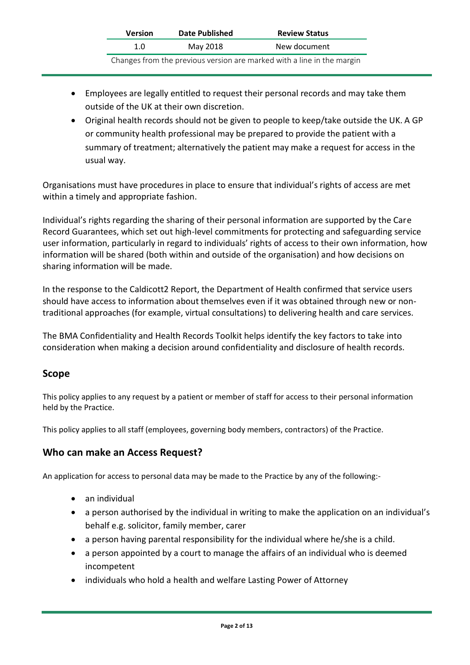| <b>Version</b> | Date Published | <b>Review Status</b>                                                   |
|----------------|----------------|------------------------------------------------------------------------|
| 1.0            | May 2018       | New document                                                           |
|                |                | Changes from the previous version are marked with a line in the margin |

- Employees are legally entitled to request their personal records and may take them outside of the UK at their own discretion.
- Original health records should not be given to people to keep/take outside the UK. A GP or community health professional may be prepared to provide the patient with a summary of treatment; alternatively the patient may make a request for access in the usual way.

Organisations must have procedures in place to ensure that individual's rights of access are met within a timely and appropriate fashion.

Individual's rights regarding the sharing of their personal information are supported by the Care Record Guarantees, which set out high-level commitments for protecting and safeguarding service user information, particularly in regard to individuals' rights of access to their own information, how information will be shared (both within and outside of the organisation) and how decisions on sharing information will be made.

In the response to the Caldicott2 Report, the Department of Health confirmed that service users should have access to information about themselves even if it was obtained through new or nontraditional approaches (for example, virtual consultations) to delivering health and care services.

The BMA Confidentiality and Health Records Toolkit helps identify the key factors to take into consideration when making a decision around confidentiality and disclosure of health records.

### **Scope**

This policy applies to any request by a patient or member of staff for access to their personal information held by the Practice.

This policy applies to all staff (employees, governing body members, contractors) of the Practice.

### **Who can make an Access Request?**

An application for access to personal data may be made to the Practice by any of the following:-

- an individual
- a person authorised by the individual in writing to make the application on an individual's behalf e.g. solicitor, family member, carer
- a person having parental responsibility for the individual where he/she is a child.
- a person appointed by a court to manage the affairs of an individual who is deemed incompetent
- individuals who hold a health and welfare Lasting Power of Attorney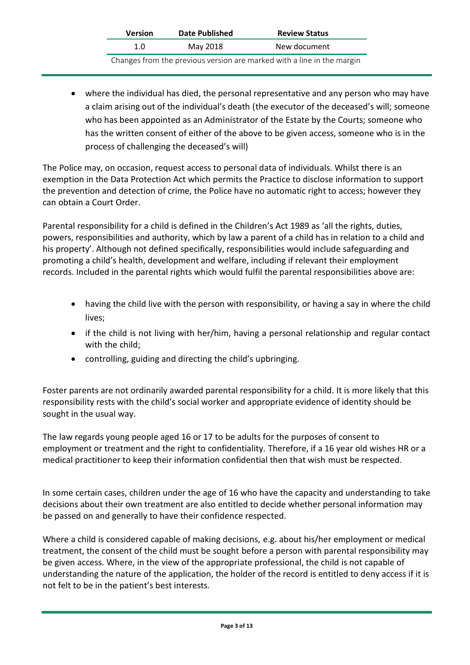| <b>Version</b> | Date Published | <b>Review Status</b>                                                   |
|----------------|----------------|------------------------------------------------------------------------|
| 1.O            | May 2018       | New document                                                           |
|                |                | Changes from the previous version are marked with a line in the margin |

• where the individual has died, the personal representative and any person who may have a claim arising out of the individual's death (the executor of the deceased's will; someone who has been appointed as an Administrator of the Estate by the Courts; someone who has the written consent of either of the above to be given access, someone who is in the process of challenging the deceased's will)

The Police may, on occasion, request access to personal data of individuals. Whilst there is an exemption in the Data Protection Act which permits the Practice to disclose information to support the prevention and detection of crime, the Police have no automatic right to access; however they can obtain a Court Order.

Parental responsibility for a child is defined in the Children's Act 1989 as 'all the rights, duties, powers, responsibilities and authority, which by law a parent of a child has in relation to a child and his property'. Although not defined specifically, responsibilities would include safeguarding and promoting a child's health, development and welfare, including if relevant their employment records. Included in the parental rights which would fulfil the parental responsibilities above are:

- having the child live with the person with responsibility, or having a say in where the child lives;
- if the child is not living with her/him, having a personal relationship and regular contact with the child;
- controlling, guiding and directing the child's upbringing.

Foster parents are not ordinarily awarded parental responsibility for a child. It is more likely that this responsibility rests with the child's social worker and appropriate evidence of identity should be sought in the usual way.

The law regards young people aged 16 or 17 to be adults for the purposes of consent to employment or treatment and the right to confidentiality. Therefore, if a 16 year old wishes HR or a medical practitioner to keep their information confidential then that wish must be respected.

In some certain cases, children under the age of 16 who have the capacity and understanding to take decisions about their own treatment are also entitled to decide whether personal information may be passed on and generally to have their confidence respected.

Where a child is considered capable of making decisions, e.g. about his/her employment or medical treatment, the consent of the child must be sought before a person with parental responsibility may be given access. Where, in the view of the appropriate professional, the child is not capable of understanding the nature of the application, the holder of the record is entitled to deny access if it is not felt to be in the patient's best interests.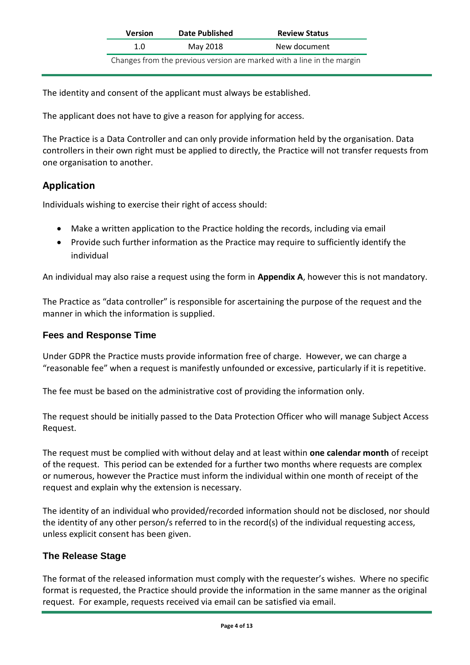| <b>Version</b> | <b>Date Published</b> | <b>Review Status</b>                                                   |
|----------------|-----------------------|------------------------------------------------------------------------|
| 1.0            | May 2018              | New document                                                           |
|                |                       | Changes from the previous version are marked with a line in the margin |

The identity and consent of the applicant must always be established.

The applicant does not have to give a reason for applying for access.

The Practice is a Data Controller and can only provide information held by the organisation. Data controllers in their own right must be applied to directly, the Practice will not transfer requests from one organisation to another.

### **Application**

Individuals wishing to exercise their right of access should:

- Make a written application to the Practice holding the records, including via email
- Provide such further information as the Practice may require to sufficiently identify the individual

An individual may also raise a request using the form in **Appendix A**, however this is not mandatory.

The Practice as "data controller" is responsible for ascertaining the purpose of the request and the manner in which the information is supplied.

### **Fees and Response Time**

Under GDPR the Practice musts provide information free of charge. However, we can charge a "reasonable fee" when a request is manifestly unfounded or excessive, particularly if it is repetitive.

The fee must be based on the administrative cost of providing the information only.

The request should be initially passed to the Data Protection Officer who will manage Subject Access Request.

The request must be complied with without delay and at least within **one calendar month** of receipt of the request. This period can be extended for a further two months where requests are complex or numerous, however the Practice must inform the individual within one month of receipt of the request and explain why the extension is necessary.

The identity of an individual who provided/recorded information should not be disclosed, nor should the identity of any other person/s referred to in the record(s) of the individual requesting access, unless explicit consent has been given.

### **The Release Stage**

The format of the released information must comply with the requester's wishes. Where no specific format is requested, the Practice should provide the information in the same manner as the original request. For example, requests received via email can be satisfied via email.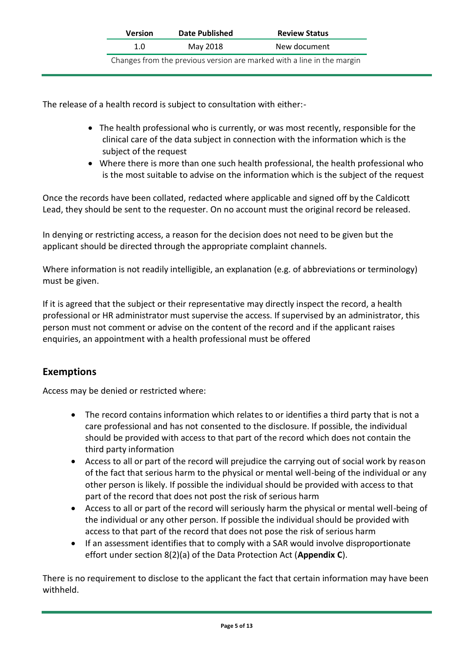| <b>Version</b> | <b>Date Published</b> | <b>Review Status</b>                                                   |
|----------------|-----------------------|------------------------------------------------------------------------|
| 1.O            | May 2018              | New document                                                           |
|                |                       | Changes from the previous version are marked with a line in the margin |

The release of a health record is subject to consultation with either:-

- The health professional who is currently, or was most recently, responsible for the clinical care of the data subject in connection with the information which is the subject of the request
- Where there is more than one such health professional, the health professional who is the most suitable to advise on the information which is the subject of the request

Once the records have been collated, redacted where applicable and signed off by the Caldicott Lead, they should be sent to the requester. On no account must the original record be released.

In denying or restricting access, a reason for the decision does not need to be given but the applicant should be directed through the appropriate complaint channels.

Where information is not readily intelligible, an explanation (e.g. of abbreviations or terminology) must be given.

If it is agreed that the subject or their representative may directly inspect the record, a health professional or HR administrator must supervise the access. If supervised by an administrator, this person must not comment or advise on the content of the record and if the applicant raises enquiries, an appointment with a health professional must be offered

## **Exemptions**

Access may be denied or restricted where:

- The record contains information which relates to or identifies a third party that is not a care professional and has not consented to the disclosure. If possible, the individual should be provided with access to that part of the record which does not contain the third party information
- Access to all or part of the record will prejudice the carrying out of social work by reason of the fact that serious harm to the physical or mental well-being of the individual or any other person is likely. If possible the individual should be provided with access to that part of the record that does not post the risk of serious harm
- Access to all or part of the record will seriously harm the physical or mental well-being of the individual or any other person. If possible the individual should be provided with access to that part of the record that does not pose the risk of serious harm
- If an assessment identifies that to comply with a SAR would involve disproportionate effort under section 8(2)(a) of the Data Protection Act (**Appendix C**).

There is no requirement to disclose to the applicant the fact that certain information may have been withheld.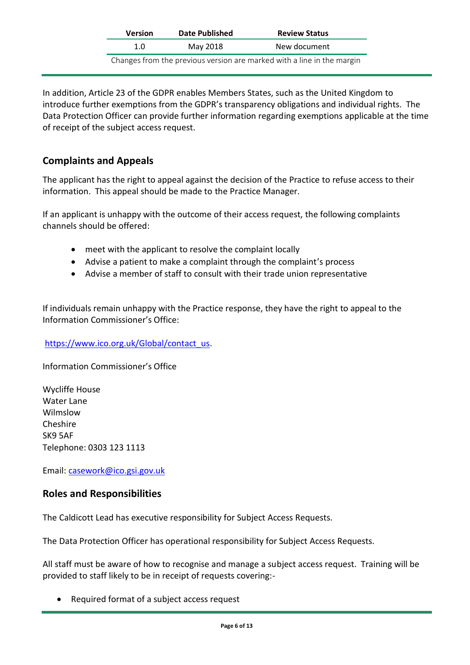| <b>Version</b>                                                         | Date Published | <b>Review Status</b> |  |  |  |
|------------------------------------------------------------------------|----------------|----------------------|--|--|--|
| 1.N                                                                    | May 2018       | New document         |  |  |  |
| Changes from the previous version are marked with a line in the margin |                |                      |  |  |  |

In addition, Article 23 of the GDPR enables Members States, such as the United Kingdom to introduce further exemptions from the GDPR's transparency obligations and individual rights. The Data Protection Officer can provide further information regarding exemptions applicable at the time of receipt of the subject access request.

### **Complaints and Appeals**

The applicant has the right to appeal against the decision of the Practice to refuse access to their information. This appeal should be made to the Practice Manager.

If an applicant is unhappy with the outcome of their access request, the following complaints channels should be offered:

- meet with the applicant to resolve the complaint locally
- Advise a patient to make a complaint through the complaint's process
- Advise a member of staff to consult with their trade union representative

If individuals remain unhappy with the Practice response, they have the right to appeal to the Information Commissioner's Office:

### [https://www.ico.org.uk/Global/contact\\_us.](https://www.ico.org.uk/Global/contact_us)

Information Commissioner's Office

Wycliffe House Water Lane Wilmslow Cheshire SK9 5AF Telephone: 0303 123 1113

Email: [casework@ico.gsi.gov.uk](mailto:casework@ico.gsi.gov.uk)

### **Roles and Responsibilities**

The Caldicott Lead has executive responsibility for Subject Access Requests.

The Data Protection Officer has operational responsibility for Subject Access Requests.

All staff must be aware of how to recognise and manage a subject access request. Training will be provided to staff likely to be in receipt of requests covering:-

• Required format of a subject access request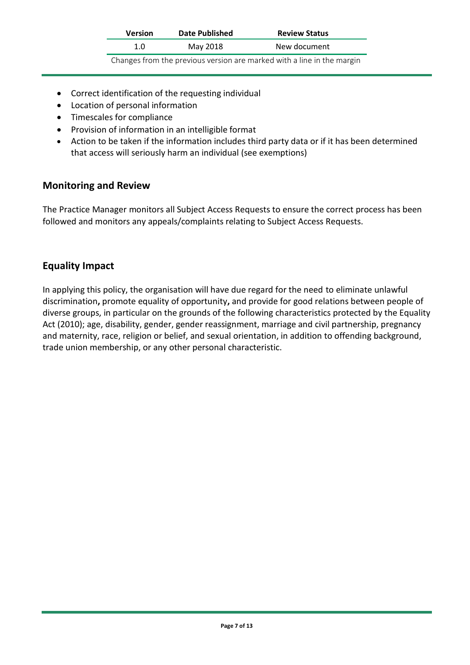| <b>Version</b> | Date Published | <b>Review Status</b>                                                   |
|----------------|----------------|------------------------------------------------------------------------|
| 1.0            | May 2018       | New document                                                           |
|                |                | Changes from the previous version are marked with a line in the margin |

- Correct identification of the requesting individual
- Location of personal information
- Timescales for compliance
- Provision of information in an intelligible format
- Action to be taken if the information includes third party data or if it has been determined that access will seriously harm an individual (see exemptions)

### **Monitoring and Review**

The Practice Manager monitors all Subject Access Requests to ensure the correct process has been followed and monitors any appeals/complaints relating to Subject Access Requests.

### **Equality Impact**

In applying this policy, the organisation will have due regard for the need to eliminate unlawful discrimination**,** promote equality of opportunity**,** and provide for good relations between people of diverse groups, in particular on the grounds of the following characteristics protected by the Equality Act (2010); age, disability, gender, gender reassignment, marriage and civil partnership, pregnancy and maternity, race, religion or belief, and sexual orientation, in addition to offending background, trade union membership, or any other personal characteristic.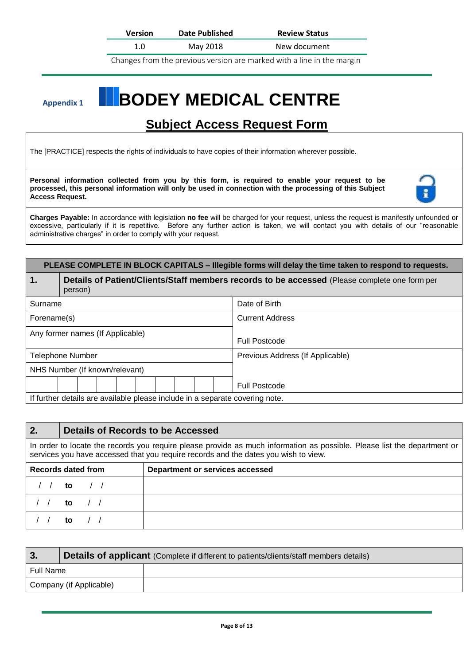**Version Date Published Review Status**

1.0 May 2018 New document

Changes from the previous version are marked with a line in the margin

# Appendix 1 **BODEY MEDICAL CENTRE**

# **Subject Access Request Form**

The [PRACTICE] respects the rights of individuals to have copies of their information wherever possible.

**Personal information collected from you by this form, is required to enable your request to be processed, this personal information will only be used in connection with the processing of this Subject Access Request.**



**Charges Payable:** In accordance with legislation **no fee** will be charged for your request, unless the request is manifestly unfounded or excessive, particularly if it is repetitive. Before any further action is taken, we will contact you with details of our "reasonable administrative charges" in order to comply with your request.

### **PLEASE COMPLETE IN BLOCK CAPITALS – Illegible forms will delay the time taken to respond to requests.**

| $\mathbf 1$                    | Details of Patient/Clients/Staff members records to be accessed (Please complete one form per<br>person) |  |  |                                  |                        |  |                      |
|--------------------------------|----------------------------------------------------------------------------------------------------------|--|--|----------------------------------|------------------------|--|----------------------|
| Surname                        |                                                                                                          |  |  | Date of Birth                    |                        |  |                      |
|                                | Forename(s)                                                                                              |  |  |                                  | <b>Current Address</b> |  |                      |
|                                | Any former names (If Applicable)                                                                         |  |  |                                  | <b>Full Postcode</b>   |  |                      |
| <b>Telephone Number</b>        |                                                                                                          |  |  | Previous Address (If Applicable) |                        |  |                      |
| NHS Number (If known/relevant) |                                                                                                          |  |  |                                  |                        |  |                      |
|                                |                                                                                                          |  |  |                                  |                        |  | <b>Full Postcode</b> |
|                                | If further details are available please include in a separate covering note.                             |  |  |                                  |                        |  |                      |

### **2. Details of Records to be Accessed**

In order to locate the records you require please provide as much information as possible. Please list the department or services you have accessed that you require records and the dates you wish to view.

| <b>Records dated from</b> | Department or services accessed |
|---------------------------|---------------------------------|
| to $\sqrt{2}$             |                                 |
| to $\sqrt{2}$             |                                 |
| to $\sqrt{2}$             |                                 |

| 3.                      | Details of applicant (Complete if different to patients/clients/staff members details) |  |  |  |
|-------------------------|----------------------------------------------------------------------------------------|--|--|--|
| Full Name               |                                                                                        |  |  |  |
| Company (if Applicable) |                                                                                        |  |  |  |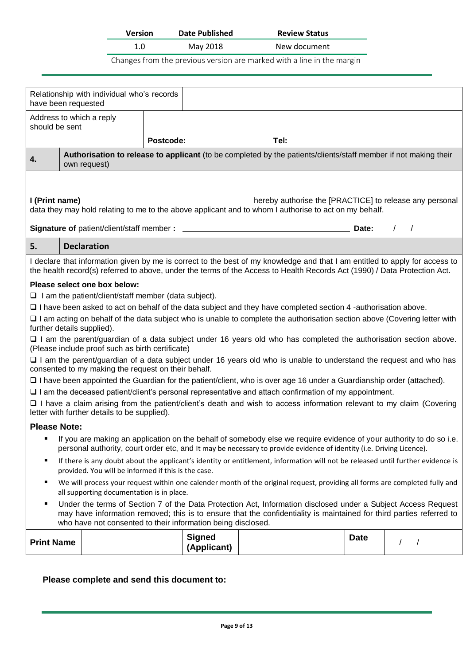| <b>Version</b> | <b>Date Published</b> | <b>Review Status</b> |
|----------------|-----------------------|----------------------|
| 1.0            | May 2018              | New document         |

Changes from the previous version are marked with a line in the margin

|                                                                                                                                                                                                                                                  | Relationship with individual who's records<br>have been requested                                                                                                                                                                                                                                     |                                                                                                                 |                                                                                                                                                                                                                                                          |             |            |  |  |  |
|--------------------------------------------------------------------------------------------------------------------------------------------------------------------------------------------------------------------------------------------------|-------------------------------------------------------------------------------------------------------------------------------------------------------------------------------------------------------------------------------------------------------------------------------------------------------|-----------------------------------------------------------------------------------------------------------------|----------------------------------------------------------------------------------------------------------------------------------------------------------------------------------------------------------------------------------------------------------|-------------|------------|--|--|--|
|                                                                                                                                                                                                                                                  | Address to which a reply<br>should be sent                                                                                                                                                                                                                                                            |                                                                                                                 |                                                                                                                                                                                                                                                          |             |            |  |  |  |
|                                                                                                                                                                                                                                                  |                                                                                                                                                                                                                                                                                                       | Postcode:                                                                                                       | Tel:                                                                                                                                                                                                                                                     |             |            |  |  |  |
| 4.                                                                                                                                                                                                                                               | own request)                                                                                                                                                                                                                                                                                          | Authorisation to release to applicant (to be completed by the patients/clients/staff member if not making their |                                                                                                                                                                                                                                                          |             |            |  |  |  |
|                                                                                                                                                                                                                                                  |                                                                                                                                                                                                                                                                                                       |                                                                                                                 |                                                                                                                                                                                                                                                          |             |            |  |  |  |
| I (Print name)                                                                                                                                                                                                                                   |                                                                                                                                                                                                                                                                                                       |                                                                                                                 | hereby authorise the [PRACTICE] to release any personal<br>data they may hold relating to me to the above applicant and to whom I authorise to act on my behalf.                                                                                         |             |            |  |  |  |
|                                                                                                                                                                                                                                                  |                                                                                                                                                                                                                                                                                                       |                                                                                                                 |                                                                                                                                                                                                                                                          | Date:       | $\sqrt{ }$ |  |  |  |
| 5.                                                                                                                                                                                                                                               | <b>Declaration</b>                                                                                                                                                                                                                                                                                    |                                                                                                                 |                                                                                                                                                                                                                                                          |             |            |  |  |  |
|                                                                                                                                                                                                                                                  |                                                                                                                                                                                                                                                                                                       |                                                                                                                 | I declare that information given by me is correct to the best of my knowledge and that I am entitled to apply for access to<br>the health record(s) referred to above, under the terms of the Access to Health Records Act (1990) / Data Protection Act. |             |            |  |  |  |
|                                                                                                                                                                                                                                                  | Please select one box below:                                                                                                                                                                                                                                                                          |                                                                                                                 |                                                                                                                                                                                                                                                          |             |            |  |  |  |
|                                                                                                                                                                                                                                                  | $\Box$ I am the patient/client/staff member (data subject).                                                                                                                                                                                                                                           |                                                                                                                 |                                                                                                                                                                                                                                                          |             |            |  |  |  |
|                                                                                                                                                                                                                                                  |                                                                                                                                                                                                                                                                                                       |                                                                                                                 | $\Box$ I have been asked to act on behalf of the data subject and they have completed section 4 -authorisation above.<br>□ I am acting on behalf of the data subject who is unable to complete the authorisation section above (Covering letter with     |             |            |  |  |  |
|                                                                                                                                                                                                                                                  | further details supplied).                                                                                                                                                                                                                                                                            |                                                                                                                 |                                                                                                                                                                                                                                                          |             |            |  |  |  |
|                                                                                                                                                                                                                                                  | (Please include proof such as birth certificate)                                                                                                                                                                                                                                                      |                                                                                                                 | $\Box$ I am the parent/guardian of a data subject under 16 years old who has completed the authorisation section above.                                                                                                                                  |             |            |  |  |  |
|                                                                                                                                                                                                                                                  | consented to my making the request on their behalf.                                                                                                                                                                                                                                                   |                                                                                                                 | □ I am the parent/guardian of a data subject under 16 years old who is unable to understand the request and who has                                                                                                                                      |             |            |  |  |  |
|                                                                                                                                                                                                                                                  |                                                                                                                                                                                                                                                                                                       |                                                                                                                 | □ I have been appointed the Guardian for the patient/client, who is over age 16 under a Guardianship order (attached).                                                                                                                                   |             |            |  |  |  |
|                                                                                                                                                                                                                                                  |                                                                                                                                                                                                                                                                                                       |                                                                                                                 | $\Box$ I am the deceased patient/client's personal representative and attach confirmation of my appointment.                                                                                                                                             |             |            |  |  |  |
|                                                                                                                                                                                                                                                  | □ I have a claim arising from the patient/client's death and wish to access information relevant to my claim (Covering<br>letter with further details to be supplied).                                                                                                                                |                                                                                                                 |                                                                                                                                                                                                                                                          |             |            |  |  |  |
| <b>Please Note:</b>                                                                                                                                                                                                                              |                                                                                                                                                                                                                                                                                                       |                                                                                                                 |                                                                                                                                                                                                                                                          |             |            |  |  |  |
| If you are making an application on the behalf of somebody else we require evidence of your authority to do so i.e.<br>٠<br>personal authority, court order etc, and It may be necessary to provide evidence of identity (i.e. Driving Licence). |                                                                                                                                                                                                                                                                                                       |                                                                                                                 |                                                                                                                                                                                                                                                          |             |            |  |  |  |
| If there is any doubt about the applicant's identity or entitlement, information will not be released until further evidence is<br>٠<br>provided. You will be informed if this is the case.                                                      |                                                                                                                                                                                                                                                                                                       |                                                                                                                 |                                                                                                                                                                                                                                                          |             |            |  |  |  |
| We will process your request within one calender month of the original request, providing all forms are completed fully and<br>٠<br>all supporting documentation is in place.                                                                    |                                                                                                                                                                                                                                                                                                       |                                                                                                                 |                                                                                                                                                                                                                                                          |             |            |  |  |  |
| ٠                                                                                                                                                                                                                                                | Under the terms of Section 7 of the Data Protection Act, Information disclosed under a Subject Access Request<br>may have information removed; this is to ensure that the confidentiality is maintained for third parties referred to<br>who have not consented to their information being disclosed. |                                                                                                                 |                                                                                                                                                                                                                                                          |             |            |  |  |  |
| <b>Print Name</b>                                                                                                                                                                                                                                |                                                                                                                                                                                                                                                                                                       | <b>Signed</b><br>(Applicant)                                                                                    |                                                                                                                                                                                                                                                          | <b>Date</b> |            |  |  |  |
|                                                                                                                                                                                                                                                  |                                                                                                                                                                                                                                                                                                       |                                                                                                                 |                                                                                                                                                                                                                                                          |             |            |  |  |  |

### **Please complete and send this document to:**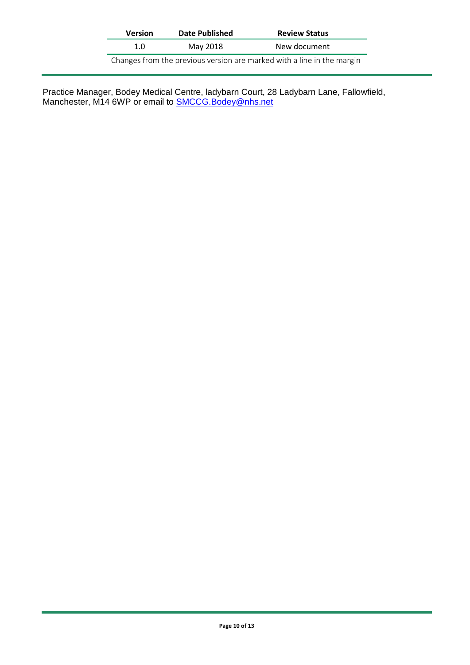| <b>Version</b> | Date Published                                                         | <b>Review Status</b> |  |  |
|----------------|------------------------------------------------------------------------|----------------------|--|--|
| 1.0            | May 2018                                                               | New document         |  |  |
|                | Changes from the previous version are marked with a line in the margin |                      |  |  |

Practice Manager, Bodey Medical Centre, ladybarn Court, 28 Ladybarn Lane, Fallowfield, Manchester, M14 6WP or email to **SMCCG.Bodey@nhs.net**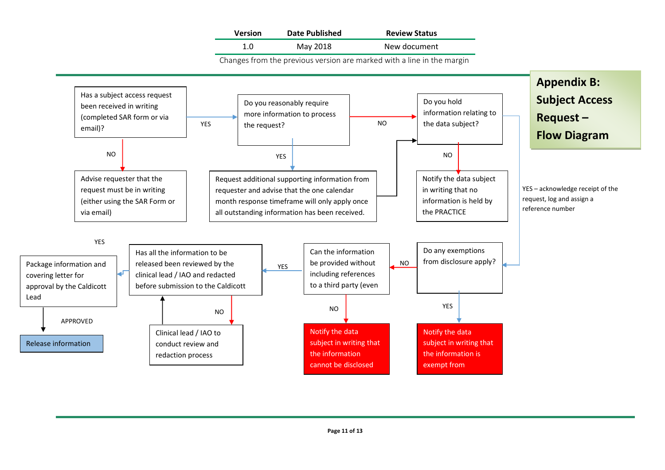| <b>Version</b> | <b>Date Published</b> | <b>Review Status</b> |
|----------------|-----------------------|----------------------|
| 1.0            | May 2018              | New document         |

Changes from the previous version are marked with a line in the margin

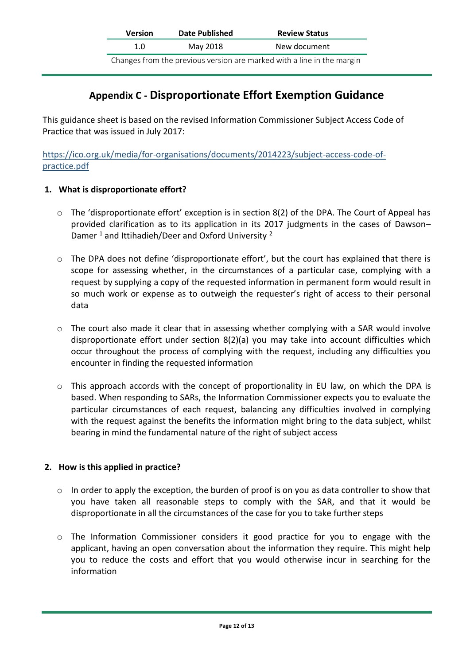| <b>Version</b>                                                         | Date Published | <b>Review Status</b> |  |
|------------------------------------------------------------------------|----------------|----------------------|--|
| 1.0                                                                    | May 2018       | New document         |  |
| Changes from the previous version are marked with a line in the margin |                |                      |  |

## **Appendix C - Disproportionate Effort Exemption Guidance**

This guidance sheet is based on the revised Information Commissioner Subject Access Code of Practice that was issued in July 2017:

[https://ico.org.uk/media/for-organisations/documents/2014223/subject-access-code-of](https://ico.org.uk/media/for-organisations/documents/2014223/subject-access-code-of-practice.pdf)[practice.pdf](https://ico.org.uk/media/for-organisations/documents/2014223/subject-access-code-of-practice.pdf)

### **1. What is disproportionate effort?**

- $\circ$  The 'disproportionate effort' exception is in section 8(2) of the DPA. The Court of Appeal has provided clarification as to its application in its 2017 judgments in the cases of Dawson– Damer  $1$  and Ittihadieh/Deer and Oxford University  $2$
- $\circ$  The DPA does not define 'disproportionate effort', but the court has explained that there is scope for assessing whether, in the circumstances of a particular case, complying with a request by supplying a copy of the requested information in permanent form would result in so much work or expense as to outweigh the requester's right of access to their personal data
- o The court also made it clear that in assessing whether complying with a SAR would involve disproportionate effort under section 8(2)(a) you may take into account difficulties which occur throughout the process of complying with the request, including any difficulties you encounter in finding the requested information
- o This approach accords with the concept of proportionality in EU law, on which the DPA is based. When responding to SARs, the Information Commissioner expects you to evaluate the particular circumstances of each request, balancing any difficulties involved in complying with the request against the benefits the information might bring to the data subject, whilst bearing in mind the fundamental nature of the right of subject access

### **2. How is this applied in practice?**

- $\circ$  In order to apply the exception, the burden of proof is on you as data controller to show that you have taken all reasonable steps to comply with the SAR, and that it would be disproportionate in all the circumstances of the case for you to take further steps
- $\circ$  The Information Commissioner considers it good practice for you to engage with the applicant, having an open conversation about the information they require. This might help you to reduce the costs and effort that you would otherwise incur in searching for the information